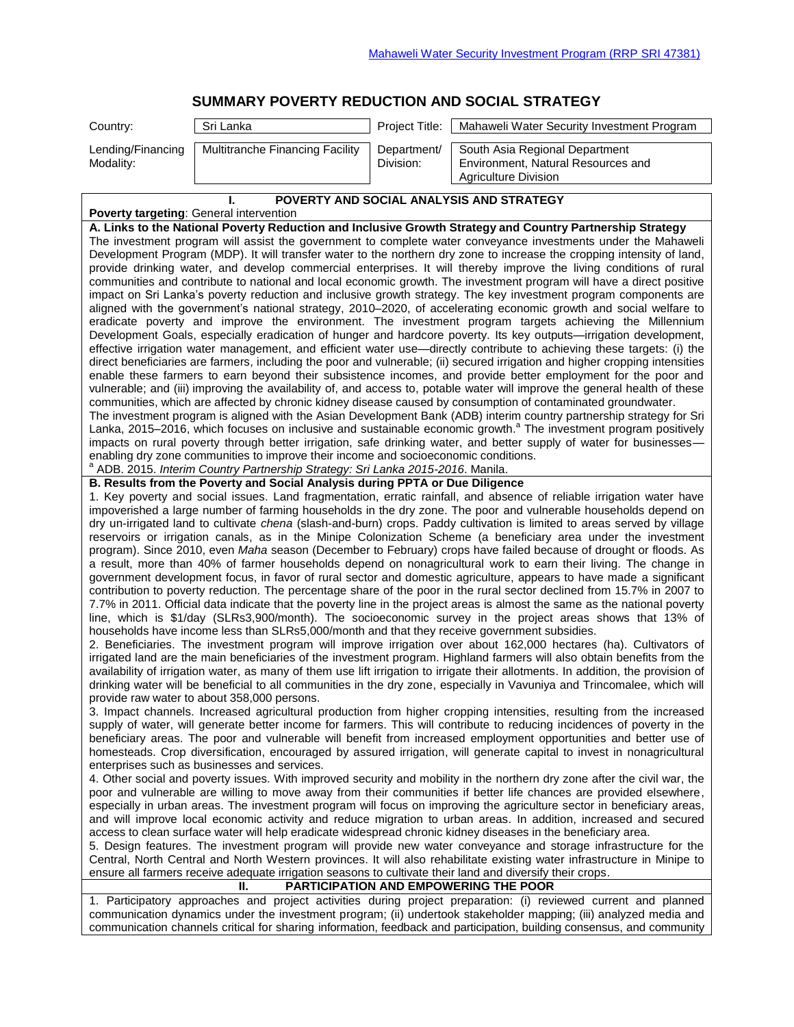## **SUMMARY POVERTY REDUCTION AND SOCIAL STRATEGY**

| Country:                                                                                                                                                                                                                                                                                                                                                                                                                                                                                                                                                                                                                                                                                                                                                                                                                                                                                                                                                                                                                                                                                                                                                                                                                                                                                                                                                                                                                                                                                                                                                                                                                                                                                                                                                                                                                                                                                                                                                                                                                                                                                                                                                                                                                                                                                                                                                                                                                                                                                                                                                                                                                                                                                                                                                                                                                                                                                                                                                                                                                                                                                                                                                                                                                                                                                                                                                                                                                                                                                                                                                                                                                                                                                                                                                                                                                                                                                                                                                                                                                                                                                                                                                                                                                                                                                                                                                                                                    | Sri Lanka                                                                                                       | Project Title:           | Mahaweli Water Security Investment Program                                                                                                                                                                                                                                                                                                                                                                                                                                                                                                                                                                                                                                                                                                                                                                                                                                                             |  |  |  |  |
|-------------------------------------------------------------------------------------------------------------------------------------------------------------------------------------------------------------------------------------------------------------------------------------------------------------------------------------------------------------------------------------------------------------------------------------------------------------------------------------------------------------------------------------------------------------------------------------------------------------------------------------------------------------------------------------------------------------------------------------------------------------------------------------------------------------------------------------------------------------------------------------------------------------------------------------------------------------------------------------------------------------------------------------------------------------------------------------------------------------------------------------------------------------------------------------------------------------------------------------------------------------------------------------------------------------------------------------------------------------------------------------------------------------------------------------------------------------------------------------------------------------------------------------------------------------------------------------------------------------------------------------------------------------------------------------------------------------------------------------------------------------------------------------------------------------------------------------------------------------------------------------------------------------------------------------------------------------------------------------------------------------------------------------------------------------------------------------------------------------------------------------------------------------------------------------------------------------------------------------------------------------------------------------------------------------------------------------------------------------------------------------------------------------------------------------------------------------------------------------------------------------------------------------------------------------------------------------------------------------------------------------------------------------------------------------------------------------------------------------------------------------------------------------------------------------------------------------------------------------------------------------------------------------------------------------------------------------------------------------------------------------------------------------------------------------------------------------------------------------------------------------------------------------------------------------------------------------------------------------------------------------------------------------------------------------------------------------------------------------------------------------------------------------------------------------------------------------------------------------------------------------------------------------------------------------------------------------------------------------------------------------------------------------------------------------------------------------------------------------------------------------------------------------------------------------------------------------------------------------------------------------------------------------------------------------------------------------------------------------------------------------------------------------------------------------------------------------------------------------------------------------------------------------------------------------------------------------------------------------------------------------------------------------------------------------------------------------------------------------------------------------------------------------|-----------------------------------------------------------------------------------------------------------------|--------------------------|--------------------------------------------------------------------------------------------------------------------------------------------------------------------------------------------------------------------------------------------------------------------------------------------------------------------------------------------------------------------------------------------------------------------------------------------------------------------------------------------------------------------------------------------------------------------------------------------------------------------------------------------------------------------------------------------------------------------------------------------------------------------------------------------------------------------------------------------------------------------------------------------------------|--|--|--|--|
| Lending/Financing<br>Modality:                                                                                                                                                                                                                                                                                                                                                                                                                                                                                                                                                                                                                                                                                                                                                                                                                                                                                                                                                                                                                                                                                                                                                                                                                                                                                                                                                                                                                                                                                                                                                                                                                                                                                                                                                                                                                                                                                                                                                                                                                                                                                                                                                                                                                                                                                                                                                                                                                                                                                                                                                                                                                                                                                                                                                                                                                                                                                                                                                                                                                                                                                                                                                                                                                                                                                                                                                                                                                                                                                                                                                                                                                                                                                                                                                                                                                                                                                                                                                                                                                                                                                                                                                                                                                                                                                                                                                                              | Multitranche Financing Facility                                                                                 | Department/<br>Division: | South Asia Regional Department<br>Environment, Natural Resources and<br><b>Agriculture Division</b>                                                                                                                                                                                                                                                                                                                                                                                                                                                                                                                                                                                                                                                                                                                                                                                                    |  |  |  |  |
|                                                                                                                                                                                                                                                                                                                                                                                                                                                                                                                                                                                                                                                                                                                                                                                                                                                                                                                                                                                                                                                                                                                                                                                                                                                                                                                                                                                                                                                                                                                                                                                                                                                                                                                                                                                                                                                                                                                                                                                                                                                                                                                                                                                                                                                                                                                                                                                                                                                                                                                                                                                                                                                                                                                                                                                                                                                                                                                                                                                                                                                                                                                                                                                                                                                                                                                                                                                                                                                                                                                                                                                                                                                                                                                                                                                                                                                                                                                                                                                                                                                                                                                                                                                                                                                                                                                                                                                                             | POVERTY AND SOCIAL ANALYSIS AND STRATEGY                                                                        |                          |                                                                                                                                                                                                                                                                                                                                                                                                                                                                                                                                                                                                                                                                                                                                                                                                                                                                                                        |  |  |  |  |
| Poverty targeting: General intervention<br>A. Links to the National Poverty Reduction and Inclusive Growth Strategy and Country Partnership Strategy<br>The investment program will assist the government to complete water conveyance investments under the Mahaweli<br>Development Program (MDP). It will transfer water to the northern dry zone to increase the cropping intensity of land,<br>provide drinking water, and develop commercial enterprises. It will thereby improve the living conditions of rural<br>communities and contribute to national and local economic growth. The investment program will have a direct positive<br>impact on Sri Lanka's poverty reduction and inclusive growth strategy. The key investment program components are<br>aligned with the government's national strategy, 2010–2020, of accelerating economic growth and social welfare to<br>eradicate poverty and improve the environment. The investment program targets achieving the Millennium<br>Development Goals, especially eradication of hunger and hardcore poverty. Its key outputs—irrigation development,<br>effective irrigation water management, and efficient water use—directly contribute to achieving these targets: (i) the<br>direct beneficiaries are farmers, including the poor and vulnerable; (ii) secured irrigation and higher cropping intensities<br>enable these farmers to earn beyond their subsistence incomes, and provide better employment for the poor and<br>vulnerable; and (iii) improving the availability of, and access to, potable water will improve the general health of these<br>communities, which are affected by chronic kidney disease caused by consumption of contaminated groundwater.<br>The investment program is aligned with the Asian Development Bank (ADB) interim country partnership strategy for Sri<br>Lanka, 2015–2016, which focuses on inclusive and sustainable economic growth. <sup>a</sup> The investment program positively<br>impacts on rural poverty through better irrigation, safe drinking water, and better supply of water for businesses-<br>enabling dry zone communities to improve their income and socioeconomic conditions.<br>ADB. 2015. Interim Country Partnership Strategy: Sri Lanka 2015-2016. Manila.<br>B. Results from the Poverty and Social Analysis during PPTA or Due Diligence<br>1. Key poverty and social issues. Land fragmentation, erratic rainfall, and absence of reliable irrigation water have<br>impoverished a large number of farming households in the dry zone. The poor and vulnerable households depend on<br>dry un-irrigated land to cultivate chena (slash-and-burn) crops. Paddy cultivation is limited to areas served by village<br>reservoirs or irrigation canals, as in the Minipe Colonization Scheme (a beneficiary area under the investment<br>program). Since 2010, even Maha season (December to February) crops have failed because of drought or floods. As<br>a result, more than 40% of farmer households depend on nonagricultural work to earn their living. The change in<br>government development focus, in favor of rural sector and domestic agriculture, appears to have made a significant<br>contribution to poverty reduction. The percentage share of the poor in the rural sector declined from 15.7% in 2007 to<br>7.7% in 2011. Official data indicate that the poverty line in the project areas is almost the same as the national poverty<br>line, which is \$1/day (SLRs3,900/month). The socioeconomic survey in the project areas shows that 13% of<br>households have income less than SLRs5,000/month and that they receive government subsidies.<br>2. Beneficiaries. The investment program will improve irrigation over about 162,000 hectares (ha). Cultivators of<br>irrigated land are the main beneficiaries of the investment program. Highland farmers will also obtain benefits from the<br>availability of irrigation water, as many of them use lift irrigation to irrigate their allotments. In addition, the provision of<br>drinking water will be beneficial to all communities in the dry zone, especially in Vavuniya and Trincomalee, which will<br>provide raw water to about 358,000 persons.<br>3. Impact channels. Increased agricultural production from higher cropping intensities, resulting from the increased |                                                                                                                 |                          |                                                                                                                                                                                                                                                                                                                                                                                                                                                                                                                                                                                                                                                                                                                                                                                                                                                                                                        |  |  |  |  |
|                                                                                                                                                                                                                                                                                                                                                                                                                                                                                                                                                                                                                                                                                                                                                                                                                                                                                                                                                                                                                                                                                                                                                                                                                                                                                                                                                                                                                                                                                                                                                                                                                                                                                                                                                                                                                                                                                                                                                                                                                                                                                                                                                                                                                                                                                                                                                                                                                                                                                                                                                                                                                                                                                                                                                                                                                                                                                                                                                                                                                                                                                                                                                                                                                                                                                                                                                                                                                                                                                                                                                                                                                                                                                                                                                                                                                                                                                                                                                                                                                                                                                                                                                                                                                                                                                                                                                                                                             | enterprises such as businesses and services.                                                                    |                          | supply of water, will generate better income for farmers. This will contribute to reducing incidences of poverty in the<br>beneficiary areas. The poor and vulnerable will benefit from increased employment opportunities and better use of<br>homesteads. Crop diversification, encouraged by assured irrigation, will generate capital to invest in nonagricultural                                                                                                                                                                                                                                                                                                                                                                                                                                                                                                                                 |  |  |  |  |
|                                                                                                                                                                                                                                                                                                                                                                                                                                                                                                                                                                                                                                                                                                                                                                                                                                                                                                                                                                                                                                                                                                                                                                                                                                                                                                                                                                                                                                                                                                                                                                                                                                                                                                                                                                                                                                                                                                                                                                                                                                                                                                                                                                                                                                                                                                                                                                                                                                                                                                                                                                                                                                                                                                                                                                                                                                                                                                                                                                                                                                                                                                                                                                                                                                                                                                                                                                                                                                                                                                                                                                                                                                                                                                                                                                                                                                                                                                                                                                                                                                                                                                                                                                                                                                                                                                                                                                                                             | ensure all farmers receive adequate irrigation seasons to cultivate their land and diversify their crops.<br>н. |                          | 4. Other social and poverty issues. With improved security and mobility in the northern dry zone after the civil war, the<br>poor and vulnerable are willing to move away from their communities if better life chances are provided elsewhere,<br>especially in urban areas. The investment program will focus on improving the agriculture sector in beneficiary areas,<br>and will improve local economic activity and reduce migration to urban areas. In addition, increased and secured<br>access to clean surface water will help eradicate widespread chronic kidney diseases in the beneficiary area.<br>5. Design features. The investment program will provide new water conveyance and storage infrastructure for the<br>Central, North Central and North Western provinces. It will also rehabilitate existing water infrastructure in Minipe to<br>PARTICIPATION AND EMPOWERING THE POOR |  |  |  |  |
|                                                                                                                                                                                                                                                                                                                                                                                                                                                                                                                                                                                                                                                                                                                                                                                                                                                                                                                                                                                                                                                                                                                                                                                                                                                                                                                                                                                                                                                                                                                                                                                                                                                                                                                                                                                                                                                                                                                                                                                                                                                                                                                                                                                                                                                                                                                                                                                                                                                                                                                                                                                                                                                                                                                                                                                                                                                                                                                                                                                                                                                                                                                                                                                                                                                                                                                                                                                                                                                                                                                                                                                                                                                                                                                                                                                                                                                                                                                                                                                                                                                                                                                                                                                                                                                                                                                                                                                                             |                                                                                                                 |                          | 1. Participatory approaches and project activities during project preparation: (i) reviewed current and planned<br>communication dynamics under the investment program; (ii) undertook stakeholder mapping; (iii) analyzed media and<br>communication channels critical for sharing information, feedback and participation, building consensus, and community                                                                                                                                                                                                                                                                                                                                                                                                                                                                                                                                         |  |  |  |  |
|                                                                                                                                                                                                                                                                                                                                                                                                                                                                                                                                                                                                                                                                                                                                                                                                                                                                                                                                                                                                                                                                                                                                                                                                                                                                                                                                                                                                                                                                                                                                                                                                                                                                                                                                                                                                                                                                                                                                                                                                                                                                                                                                                                                                                                                                                                                                                                                                                                                                                                                                                                                                                                                                                                                                                                                                                                                                                                                                                                                                                                                                                                                                                                                                                                                                                                                                                                                                                                                                                                                                                                                                                                                                                                                                                                                                                                                                                                                                                                                                                                                                                                                                                                                                                                                                                                                                                                                                             |                                                                                                                 |                          |                                                                                                                                                                                                                                                                                                                                                                                                                                                                                                                                                                                                                                                                                                                                                                                                                                                                                                        |  |  |  |  |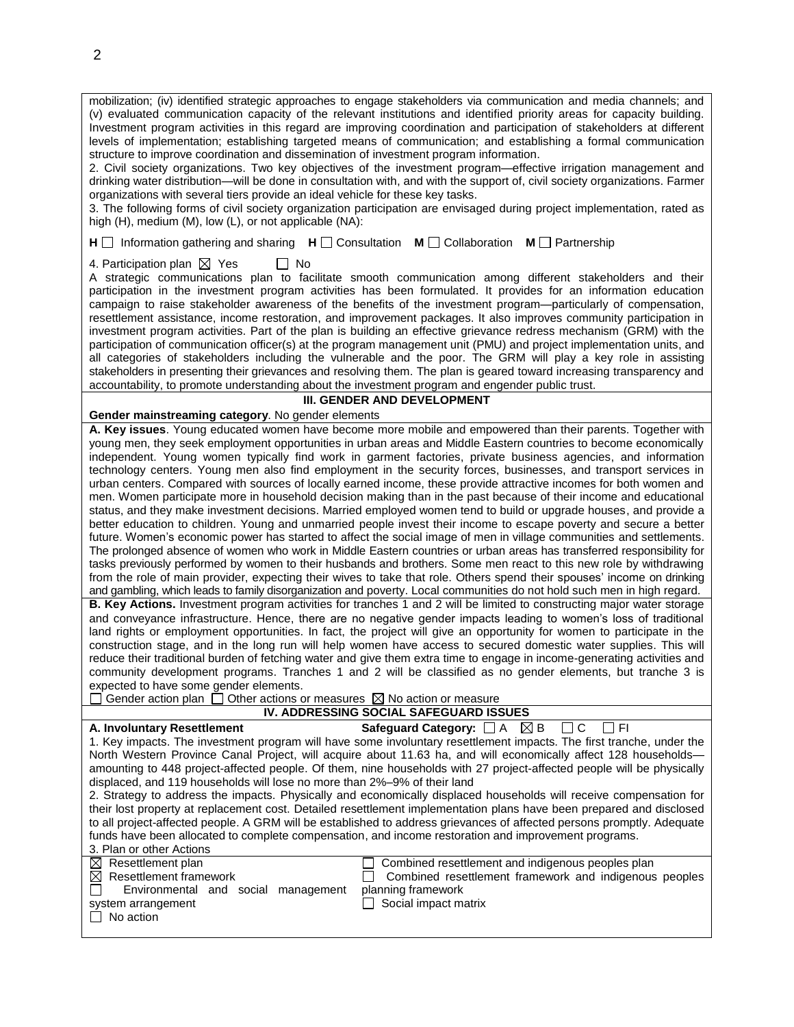mobilization; (iv) identified strategic approaches to engage stakeholders via communication and media channels; and (v) evaluated communication capacity of the relevant institutions and identified priority areas for capacity building. Investment program activities in this regard are improving coordination and participation of stakeholders at different levels of implementation; establishing targeted means of communication; and establishing a formal communication structure to improve coordination and dissemination of investment program information.

2. Civil society organizations. Two key objectives of the investment program—effective irrigation management and drinking water distribution—will be done in consultation with, and with the support of, civil society organizations. Farmer organizations with several tiers provide an ideal vehicle for these key tasks.

3. The following forms of civil society organization participation are envisaged during project implementation, rated as high (H), medium (M), low (L), or not applicable (NA):

**H**  $\Box$  Information gathering and sharing **H**  $\Box$  Consultation **M**  $\Box$  Collaboration **M**  $\Box$  Partnership

4. Participation plan  $\boxtimes$  Yes  $\Box$  No

A strategic communications plan to facilitate smooth communication among different stakeholders and their participation in the investment program activities has been formulated. It provides for an information education campaign to raise stakeholder awareness of the benefits of the investment program—particularly of compensation, resettlement assistance, income restoration, and improvement packages. It also improves community participation in investment program activities. Part of the plan is building an effective grievance redress mechanism (GRM) with the participation of communication officer(s) at the program management unit (PMU) and project implementation units, and all categories of stakeholders including the vulnerable and the poor. The GRM will play a key role in assisting stakeholders in presenting their grievances and resolving them. The plan is geared toward increasing transparency and accountability, to promote understanding about the investment program and engender public trust.

## **III. GENDER AND DEVELOPMENT**

**Gender mainstreaming category**. No gender elements

**A. Key issues**. Young educated women have become more mobile and empowered than their parents. Together with young men, they seek employment opportunities in urban areas and Middle Eastern countries to become economically independent. Young women typically find work in garment factories, private business agencies, and information technology centers. Young men also find employment in the security forces, businesses, and transport services in urban centers. Compared with sources of locally earned income, these provide attractive incomes for both women and men. Women participate more in household decision making than in the past because of their income and educational status, and they make investment decisions. Married employed women tend to build or upgrade houses, and provide a better education to children. Young and unmarried people invest their income to escape poverty and secure a better future. Women's economic power has started to affect the social image of men in village communities and settlements. The prolonged absence of women who work in Middle Eastern countries or urban areas has transferred responsibility for tasks previously performed by women to their husbands and brothers. Some men react to this new role by withdrawing from the role of main provider, expecting their wives to take that role. Others spend their spouses' income on drinking and gambling, which leads to family disorganization and poverty. Local communities do not hold such men in high regard.

**B. Key Actions.** Investment program activities for tranches 1 and 2 will be limited to constructing major water storage and conveyance infrastructure. Hence, there are no negative gender impacts leading to women's loss of traditional land rights or employment opportunities. In fact, the project will give an opportunity for women to participate in the construction stage, and in the long run will help women have access to secured domestic water supplies. This will reduce their traditional burden of fetching water and give them extra time to engage in income-generating activities and community development programs. Tranches 1 and 2 will be classified as no gender elements, but tranche 3 is expected to have some gender elements.

 $\Box$  Gender action plan  $\Box$  Other actions or measures  $\boxtimes$  No action or measure

**IV. ADDRESSING SOCIAL SAFEGUARD ISSUES** 

|  |  | <b>A. Involuntary Resettlement</b> |  |  |
|--|--|------------------------------------|--|--|
|--|--|------------------------------------|--|--|

**Safeguard Category:**  $\Box$  A  $\boxtimes$  B  $\Box$  C  $\Box$  FI

1. Key impacts. The investment program will have some involuntary resettlement impacts. The first tranche, under the North Western Province Canal Project, will acquire about 11.63 ha, and will economically affect 128 households amounting to 448 project-affected people. Of them, nine households with 27 project-affected people will be physically displaced, and 119 households will lose no more than 2%–9% of their land

2. Strategy to address the impacts. Physically and economically displaced households will receive compensation for their lost property at replacement cost. Detailed resettlement implementation plans have been prepared and disclosed to all project-affected people. A GRM will be established to address grievances of affected persons promptly. Adequate funds have been allocated to complete compensation, and income restoration and improvement programs. 3. Plan or other Actions

| <b>J. FIAILULULULE AUULIS</b>                                                 |                                                                                                                    |
|-------------------------------------------------------------------------------|--------------------------------------------------------------------------------------------------------------------|
| $\boxtimes$ Resettlement plan<br>$\boxtimes$ Resettlement framework           | $\Box$ Combined resettlement and indigenous peoples plan<br>Combined resettlement framework and indigenous peoples |
| Environmental and social management<br>system arrangement<br>$\top$ No action | planning framework<br>$\Box$ Social impact matrix                                                                  |